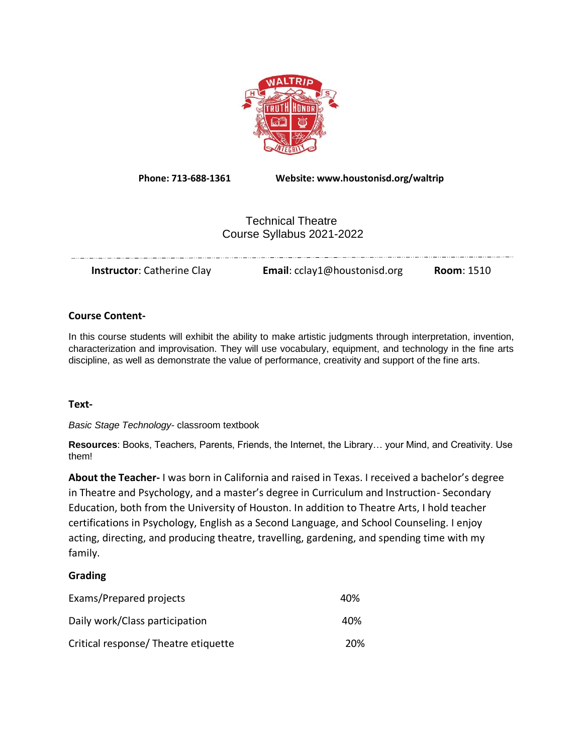

**Phone: 713-688-1361 Website: www.houstonisd.org/waltrip**

# Technical Theatre Course Syllabus 2021-2022

| <b>Instructor:</b> Catherine Clay | Email: cclay1@houstonisd.org | Room: 1510 |
|-----------------------------------|------------------------------|------------|

#### **Course Content-**

In this course students will exhibit the ability to make artistic judgments through interpretation, invention, characterization and improvisation. They will use vocabulary, equipment, and technology in the fine arts discipline, as well as demonstrate the value of performance, creativity and support of the fine arts.

#### **Text-**

*Basic Stage Technology-* classroom textbook

**Resources**: Books, Teachers, Parents, Friends, the Internet, the Library… your Mind, and Creativity. Use them!

**About the Teacher-** I was born in California and raised in Texas. I received a bachelor's degree in Theatre and Psychology, and a master's degree in Curriculum and Instruction- Secondary Education, both from the University of Houston. In addition to Theatre Arts, I hold teacher certifications in Psychology, English as a Second Language, and School Counseling. I enjoy acting, directing, and producing theatre, travelling, gardening, and spending time with my family.

#### **Grading**

| Exams/Prepared projects              | 40% |
|--------------------------------------|-----|
| Daily work/Class participation       | 40% |
| Critical response/ Theatre etiquette | 20% |